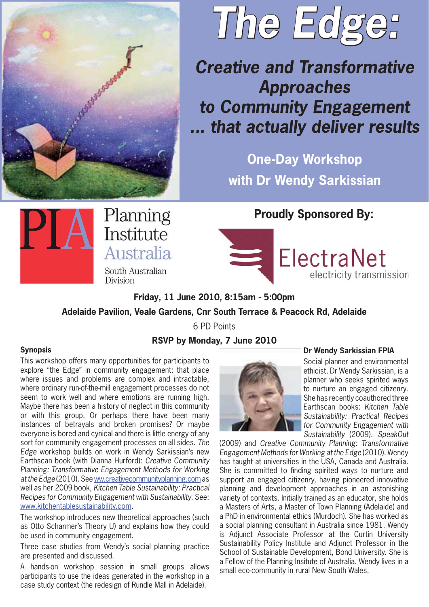



## *Creative and Transformative Approaches to Community Engagement ... that actually deliver results*

**One-Day Workshop with Dr Wendy Sarkissian**



Planning Institute Australia

South Australian **Division** 

**Proudly Sponsored By:**

ElectraNet electricity transmission

**Friday, 11 June 2010, 8:15am - 5:00pm** 

**Adelaide Pavilion, Veale Gardens, Cnr South Terrace & Peacock Rd, Adelaide**

6 PD Points

**RSVP by Monday, 7 June 2010**

## **Synopsis**

This workshop offers many opportunities for participants to explore "the Edge" in community engagement: that place where issues and problems are complex and intractable, where ordinary run-of-the-mill engagement processes do not seem to work well and where emotions are running high. Maybe there has been a history of neglect in this community or with this group. Or perhaps there have been many instances of betrayals and broken promises? Or maybe everyone is bored and cynical and there is little energy of any sort for community engagement processes on all sides. *The Edge* workshop builds on work in Wendy Sarkissian's new Earthscan book (with Dianna Hurford): *Creative Community Planning: Transformative Engagement Methods for Working at the Edge* (2010). See ww.creativecommunityplanning.com as well as her 2009 book, *Kitchen Table Sustainability: Practical Recipes for Community Engagement with Sustainability*. See: www.kitchentablesustainability.com.

The workshop introduces new theoretical approaches (such as Otto Scharmer's Theory U) and explains how they could be used in community engagement.

Three case studies from Wendy's social planning practice are presented and discussed.

A hands-on workshop session in small groups allows participants to use the ideas generated in the workshop in a case study context (the redesign of Rundle Mall in Adelaide).



## **Dr Wendy Sarkissian FPIA**

Social planner and environmental ethicist, Dr Wendy Sarkissian, is a planner who seeks spirited ways to nurture an engaged citizenry. She has recently coauthored three Earthscan books: *Kitchen Table Sustainability: Practical Recipes for Community Engagement with Sustainability* (2009). *SpeakOut* 

(2009) and *Creative Community Planning: Transformative Engagement Methods for Working at the Edge* (2010). Wendy has taught at universities in the USA, Canada and Australia. She is committed to finding spirited ways to nurture and support an engaged citizenry, having pioneered innovative planning and development approaches in an astonishing variety of contexts. Initially trained as an educator, she holds a Masters of Arts, a Master of Town Planning (Adelaide) and a PhD in environmental ethics (Murdoch). She has worked as a social planning consultant in Australia since 1981. Wendy is Adjunct Associate Professor at the Curtin University Sustainability Policy Institute and Adjunct Professor in the School of Sustainable Development, Bond University. She is a Fellow of the Planning Insitute of Australia. Wendy lives in a small eco-community in rural New South Wales.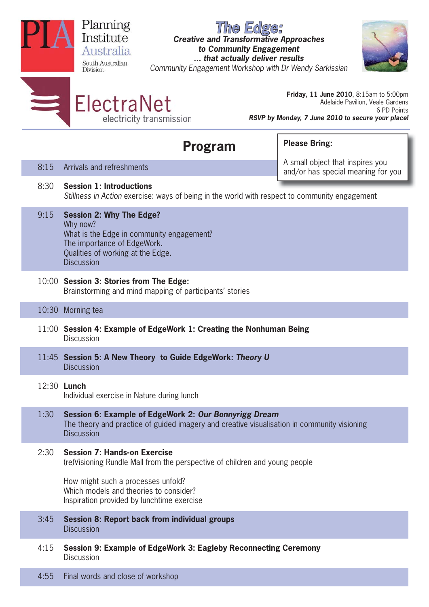|                                        | Planning<br>The Edge:<br>Institute<br><b>Creative and Transformative Approaches</b><br>to Community Engagement<br>Australia<br>that actually deliver results<br>South Australian<br>Community Engagement Workshop with Dr Wendy Sarkissian<br>Division |                                                                                                                                                                                   |                                                                                                                                                |  |  |  |  |  |  |  |  |
|----------------------------------------|--------------------------------------------------------------------------------------------------------------------------------------------------------------------------------------------------------------------------------------------------------|-----------------------------------------------------------------------------------------------------------------------------------------------------------------------------------|------------------------------------------------------------------------------------------------------------------------------------------------|--|--|--|--|--|--|--|--|
|                                        | $\equiv$                                                                                                                                                                                                                                               | ElectraNet<br>electricity transmission                                                                                                                                            | Friday, 11 June 2010, 8:15am to 5:00pm<br>Adelaide Pavilion, Veale Gardens<br>6 PD Points<br>RSVP by Monday, 7 June 2010 to secure your place! |  |  |  |  |  |  |  |  |
| <b>Please Bring:</b><br><b>Program</b> |                                                                                                                                                                                                                                                        |                                                                                                                                                                                   |                                                                                                                                                |  |  |  |  |  |  |  |  |
|                                        | 8:15                                                                                                                                                                                                                                                   | Arrivals and refreshments                                                                                                                                                         | A small object that inspires you<br>and/or has special meaning for you                                                                         |  |  |  |  |  |  |  |  |
|                                        | 8:30                                                                                                                                                                                                                                                   | <b>Session 1: Introductions</b><br>Stillness in Action exercise: ways of being in the world with respect to community engagement                                                  |                                                                                                                                                |  |  |  |  |  |  |  |  |
|                                        | 9:15                                                                                                                                                                                                                                                   | <b>Session 2: Why The Edge?</b><br>Why now?<br>What is the Edge in community engagement?<br>The importance of EdgeWork.<br>Qualities of working at the Edge.<br><b>Discussion</b> |                                                                                                                                                |  |  |  |  |  |  |  |  |
|                                        | 10:00 Session 3: Stories from The Edge:<br>Brainstorming and mind mapping of participants' stories                                                                                                                                                     |                                                                                                                                                                                   |                                                                                                                                                |  |  |  |  |  |  |  |  |
|                                        | 10:30                                                                                                                                                                                                                                                  | Morning tea                                                                                                                                                                       |                                                                                                                                                |  |  |  |  |  |  |  |  |
|                                        | 11:00 Session 4: Example of EdgeWork 1: Creating the Nonhuman Being<br><b>Discussion</b>                                                                                                                                                               |                                                                                                                                                                                   |                                                                                                                                                |  |  |  |  |  |  |  |  |
|                                        |                                                                                                                                                                                                                                                        | 11:45 Session 5: A New Theory to Guide EdgeWork: Theory U<br><b>Discussion</b>                                                                                                    |                                                                                                                                                |  |  |  |  |  |  |  |  |
|                                        |                                                                                                                                                                                                                                                        | 12:30 <b>Lunch</b><br>Individual exercise in Nature during lunch                                                                                                                  |                                                                                                                                                |  |  |  |  |  |  |  |  |
|                                        | 1:30                                                                                                                                                                                                                                                   | Session 6: Example of EdgeWork 2: Our Bonnyrigg Dream<br>The theory and practice of guided imagery and creative visualisation in community visioning<br><b>Discussion</b>         |                                                                                                                                                |  |  |  |  |  |  |  |  |
|                                        | 2:30                                                                                                                                                                                                                                                   | <b>Session 7: Hands-on Exercise</b><br>(re)Visioning Rundle Mall from the perspective of children and young people                                                                |                                                                                                                                                |  |  |  |  |  |  |  |  |
|                                        |                                                                                                                                                                                                                                                        | How might such a processes unfold?<br>Which models and theories to consider?<br>Inspiration provided by lunchtime exercise                                                        |                                                                                                                                                |  |  |  |  |  |  |  |  |
|                                        | 3:45                                                                                                                                                                                                                                                   | <b>Session 8: Report back from individual groups</b><br><b>Discussion</b>                                                                                                         |                                                                                                                                                |  |  |  |  |  |  |  |  |
|                                        | 4:15                                                                                                                                                                                                                                                   | Session 9: Example of EdgeWork 3: Eagleby Reconnecting Ceremony<br><b>Discussion</b>                                                                                              |                                                                                                                                                |  |  |  |  |  |  |  |  |
|                                        | 4:55                                                                                                                                                                                                                                                   | Final words and close of workshop                                                                                                                                                 |                                                                                                                                                |  |  |  |  |  |  |  |  |